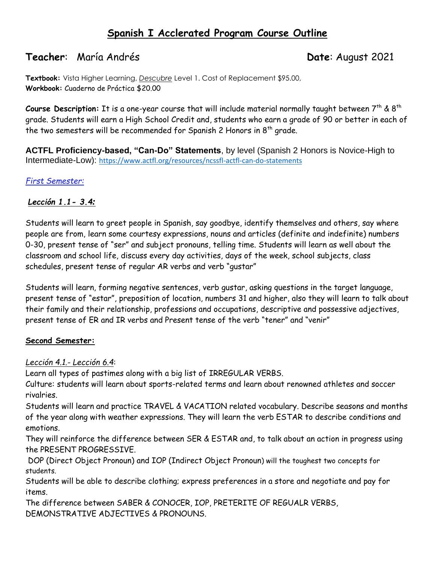# **Spanish I Acclerated Program Course Outline**

# **Teacher**: María Andrés **Date**: August 2021

**Textbook:** Vista Higher Learning, *Descubre* Level 1. Cost of Replacement \$95.00, **Workbook:** Cuaderno de Práctica \$20.00

Course Description: It is a one-year course that will include material normally taught between 7<sup>th</sup> & 8<sup>th</sup> grade. Students will earn a High School Credit and, students who earn a grade of 90 or better in each of the two semesters will be recommended for Spanish 2 Honors in  $8<sup>th</sup>$  grade.

**ACTFL Proficiency-based, "Can-Do" Statements**, by level (Spanish 2 Honors is Novice-High to Intermediate-Low): [https://www.actfl.org/resources/ncssfl-actfl-can-do-statements](https://nam11.safelinks.protection.outlook.com/?url=https%3A%2F%2Fwww.actfl.org%2Fresources%2Fncssfl-actfl-can-do-statements&data=04%7C01%7CGutierrez%40fultonschools.org%7C0d94f930c6a447eb22a808d959adbe9f%7C0cdcb19881694b70ba9fda7e3ba700c2%7C1%7C0%7C637639425057163725%7CUnknown%7CTWFpbGZsb3d8eyJWIjoiMC4wLjAwMDAiLCJQIjoiV2luMzIiLCJBTiI6Ik1haWwiLCJXVCI6Mn0%3D%7C1000&sdata=CP81UFM%2BBrp48oAsuEUAdZbQE7KuXSUZmy%2B4Do2XSL0%3D&reserved=0)

### *First Semester:*

### *Lección 1.1- 3.4:*

Students will learn to greet people in Spanish, say goodbye, identify themselves and others, say where people are from, learn some courtesy expressions, nouns and articles (definite and indefinite) numbers 0-30, present tense of "ser" and subject pronouns, telling time. Students will learn as well about the classroom and school life, discuss every day activities, days of the week, school subjects, class schedules, present tense of regular AR verbs and verb "gustar"

Students will learn, forming negative sentences, verb gustar, asking questions in the target language, present tense of "estar", preposition of location, numbers 31 and higher, also they will learn to talk about their family and their relationship, professions and occupations, descriptive and possessive adjectives, present tense of ER and IR verbs and Present tense of the verb "tener" and "venir"

#### **Second Semester:**

### *Lección 4.1.- Lección 6.4*:

Learn all types of pastimes along with a big list of IRREGULAR VERBS.

Culture: students will learn about sports-related terms and learn about renowned athletes and soccer rivalries.

Students will learn and practice TRAVEL & VACATION related vocabulary. Describe seasons and months of the year along with weather expressions. They will learn the verb ESTAR to describe conditions and emotions.

They will reinforce the difference between SER & ESTAR and, to talk about an action in progress using the PRESENT PROGRESSIVE.

DOP (Direct Object Pronoun) and IOP (Indirect Object Pronoun) will the toughest two concepts for students.

Students will be able to describe clothing; express preferences in a store and negotiate and pay for items.

The difference between SABER & CONOCER, IOP, PRETERITE OF REGUALR VERBS, DEMONSTRATIVE ADJECTIVES & PRONOUNS.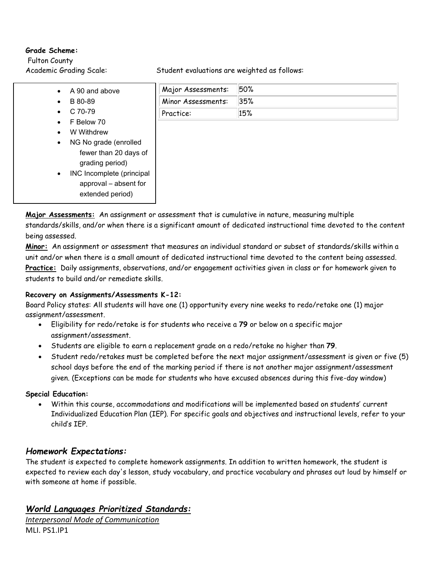#### **Grade Scheme:**

Fulton County

- A 90 and above
- B 80-89
- $\bullet$  C 70-79
- F Below 70
- W Withdrew
- NG No grade (enrolled fewer than 20 days of grading period)
- INC Incomplete (principal approval – absent for extended period)

Academic Grading Scale: Student evaluations are weighted as follows:

| Major Assessments: | 50% |
|--------------------|-----|
| Minor Assessments: | 35% |
| Practice:          | 15% |

**Major Assessments:** An assignment or assessment that is cumulative in nature, measuring multiple standards/skills, and/or when there is a significant amount of dedicated instructional time devoted to the content being assessed.

**Minor:** An assignment or assessment that measures an individual standard or subset of standards/skills within a unit and/or when there is a small amount of dedicated instructional time devoted to the content being assessed. **Practice:** Daily assignments, observations, and/or engagement activities given in class or for homework given to students to build and/or remediate skills.

#### **Recovery on Assignments/Assessments K-12:**

Board Policy states: All students will have one (1) opportunity every nine weeks to redo/retake one (1) major assignment/assessment.

- Eligibility for redo/retake is for students who receive a **79** or below on a specific major assignment/assessment.
- Students are eligible to earn a replacement grade on a redo/retake no higher than **79**.
- Student redo/retakes must be completed before the next major assignment/assessment is given or five (5) school days before the end of the marking period if there is not another major assignment/assessment given. (Exceptions can be made for students who have excused absences during this five-day window)

#### **Special Education:**

• Within this course, accommodations and modifications will be implemented based on students' current Individualized Education Plan (IEP). For specific goals and objectives and instructional levels, refer to your child's IEP.

### *Homework Expectations:*

The student is expected to complete homework assignments. In addition to written homework, the student is expected to review each day's lesson, study vocabulary, and practice vocabulary and phrases out loud by himself or with someone at home if possible.

### *World Languages Prioritized Standards:*

*Interpersonal Mode of Communication* MLI. PS1.IP1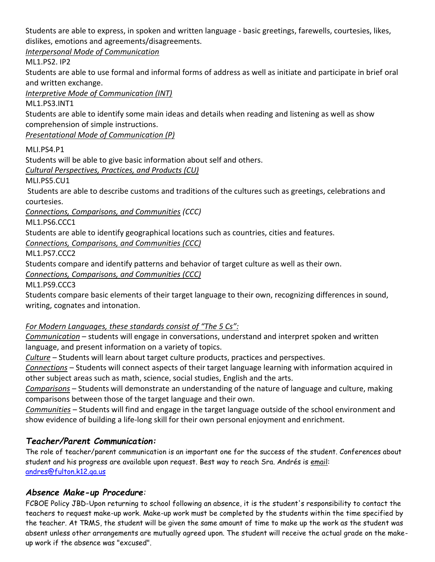Students are able to express, in spoken and written language - basic greetings, farewells, courtesies, likes, dislikes, emotions and agreements/disagreements.

*Interpersonal Mode of Communication*

ML1.PS2. IP2

Students are able to use formal and informal forms of address as well as initiate and participate in brief oral and written exchange.

*Interpretive Mode of Communication (INT)*

ML1.PS3.INT1

Students are able to identify some main ideas and details when reading and listening as well as show comprehension of simple instructions.

*Presentational Mode of Communication (P)*

MLI.PS4.P1

Students will be able to give basic information about self and others.

*Cultural Perspectives, Practices, and Products (CU)*

MLI.PS5.CU1

Students are able to describe customs and traditions of the cultures such as greetings, celebrations and courtesies.

*Connections, Comparisons, and Communities (CCC)*

ML1.PS6.CCC1

Students are able to identify geographical locations such as countries, cities and features.

*Connections, Comparisons, and Communities (CCC)*

ML1.PS7.CCC2

Students compare and identify patterns and behavior of target culture as well as their own.

*Connections, Comparisons, and Communities (CCC)*

ML1.PS9.CCC3

Students compare basic elements of their target language to their own, recognizing differences in sound, writing, cognates and intonation.

### *For Modern Languages, these standards consist of "The 5 Cs":*

*Communication* – students will engage in conversations, understand and interpret spoken and written language, and present information on a variety of topics.

*Culture* – Students will learn about target culture products, practices and perspectives.

*Connections* – Students will connect aspects of their target language learning with information acquired in other subject areas such as math, science, social studies, English and the arts.

*Comparisons* – Students will demonstrate an understanding of the nature of language and culture, making comparisons between those of the target language and their own.

*Communities* – Students will find and engage in the target language outside of the school environment and show evidence of building a life-long skill for their own personal enjoyment and enrichment.

## *Teacher/Parent Communication:*

The role of teacher/parent communication is an important one for the success of the student. Conferences about student and his progress are available upon request. Best way to reach Sra. Andrés is email: [andres@fulton.k12.ga.us](mailto:andres@fulton.k12.ga.us)

### *Absence Make-up Procedure:*

FCBOE Policy JBD-Upon returning to school following an absence, it is the student's responsibility to contact the teachers to request make-up work. Make-up work must be completed by the students within the time specified by the teacher. At TRMS, the student will be given the same amount of time to make up the work as the student was absent unless other arrangements are mutually agreed upon. The student will receive the actual grade on the makeup work if the absence was "excused".